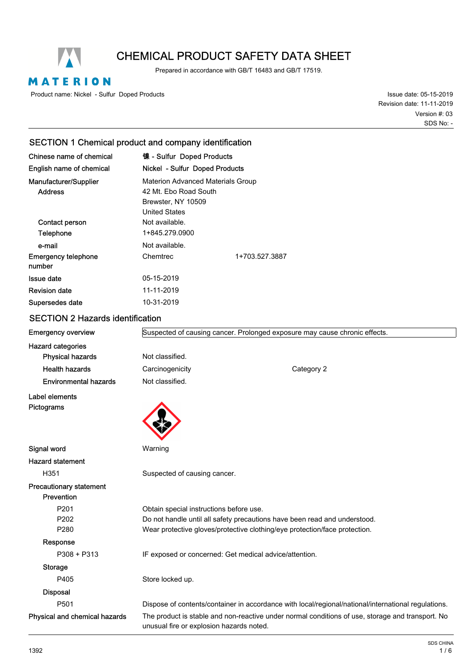

# CHEMICAL PRODUCT SAFETY DATA SHEET

Prepared in accordance with GB/T 16483 and GB/T 17519.

MATERION

Product name: Nickel - Sulfur Doped Products

Issue date: 05-15-2019 Revision date: 11-11-2019 SDS No: - Version #: 03

## SECTION 1 Chemical product and company identification

| Chinese name of chemical   | 镍 - Sulfur Doped Products                |                |
|----------------------------|------------------------------------------|----------------|
| English name of chemical   | Nickel - Sulfur Doped Products           |                |
| Manufacturer/Supplier      | <b>Materion Advanced Materials Group</b> |                |
| <b>Address</b>             | 42 Mt. Ebo Road South                    |                |
|                            | Brewster, NY 10509                       |                |
|                            | <b>United States</b>                     |                |
| Contact person             | Not available.                           |                |
| Telephone                  | 1+845.279.0900                           |                |
| e-mail                     | Not available.                           |                |
| <b>Emergency telephone</b> | Chemtrec                                 | 1+703.527.3887 |
| number                     |                                          |                |
| Issue date                 | 05-15-2019                               |                |
| <b>Revision date</b>       | 11-11-2019                               |                |
| Supersedes date            | 10-31-2019                               |                |
|                            |                                          |                |

## SECTION 2 Hazards identification

| <b>Emergency overview</b>      | Suspected of causing cancer. Prolonged exposure may cause chronic effects. |                                                                                                     |
|--------------------------------|----------------------------------------------------------------------------|-----------------------------------------------------------------------------------------------------|
| <b>Hazard categories</b>       |                                                                            |                                                                                                     |
| <b>Physical hazards</b>        | Not classified.                                                            |                                                                                                     |
| <b>Health hazards</b>          | Carcinogenicity                                                            | Category 2                                                                                          |
| <b>Environmental hazards</b>   | Not classified.                                                            |                                                                                                     |
| Label elements                 |                                                                            |                                                                                                     |
| Pictograms                     |                                                                            |                                                                                                     |
| Signal word                    | Warning                                                                    |                                                                                                     |
| <b>Hazard statement</b>        |                                                                            |                                                                                                     |
| H351                           | Suspected of causing cancer.                                               |                                                                                                     |
| <b>Precautionary statement</b> |                                                                            |                                                                                                     |
| Prevention                     |                                                                            |                                                                                                     |
| P201                           | Obtain special instructions before use.                                    |                                                                                                     |
| P202                           | Do not handle until all safety precautions have been read and understood.  |                                                                                                     |
| P280                           | Wear protective gloves/protective clothing/eye protection/face protection. |                                                                                                     |
| Response                       |                                                                            |                                                                                                     |
| P308 + P313                    | IF exposed or concerned: Get medical advice/attention.                     |                                                                                                     |
| Storage                        |                                                                            |                                                                                                     |
| P405                           | Store locked up.                                                           |                                                                                                     |
| <b>Disposal</b>                |                                                                            |                                                                                                     |
| P501                           |                                                                            | Dispose of contents/container in accordance with local/regional/national/international regulations. |
| Physical and chemical hazards  | unusual fire or explosion hazards noted.                                   | The product is stable and non-reactive under normal conditions of use, storage and transport. No    |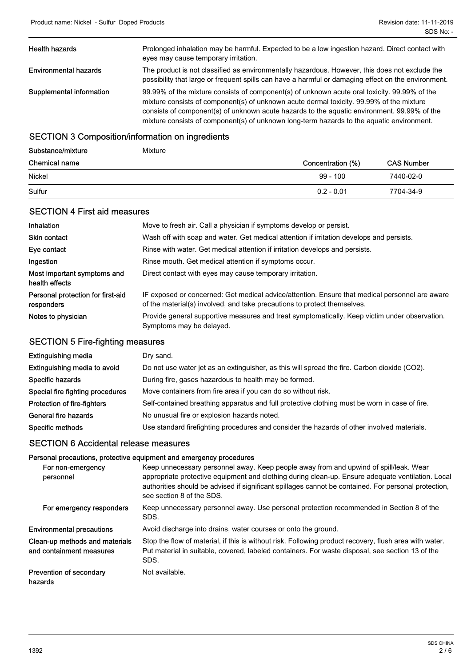| <b>Health hazards</b>        | Prolonged inhalation may be harmful. Expected to be a low ingestion hazard. Direct contact with<br>eyes may cause temporary irritation.                                                                                                                                                                                                                                              |
|------------------------------|--------------------------------------------------------------------------------------------------------------------------------------------------------------------------------------------------------------------------------------------------------------------------------------------------------------------------------------------------------------------------------------|
| <b>Environmental hazards</b> | The product is not classified as environmentally hazardous. However, this does not exclude the<br>possibility that large or frequent spills can have a harmful or damaging effect on the environment.                                                                                                                                                                                |
| Supplemental information     | 99.99% of the mixture consists of component(s) of unknown acute oral toxicity. 99.99% of the<br>mixture consists of component(s) of unknown acute dermal toxicity. 99.99% of the mixture<br>consists of component(s) of unknown acute hazards to the aquatic environment. 99.99% of the<br>mixture consists of component(s) of unknown long-term hazards to the aquatic environment. |

## SECTION 3 Composition/information on ingredients

| Substance/mixture    | Mixture           |                   |
|----------------------|-------------------|-------------------|
| <b>Chemical name</b> | Concentration (%) | <b>CAS Number</b> |
| Nickel               | $99 - 100$        | 7440-02-0         |
| Sulfur               | $0.2 - 0.01$      | 7704-34-9         |

## SECTION 4 First aid measures

| <b>Inhalation</b>                               | Move to fresh air. Call a physician if symptoms develop or persist.                                                                                                        |
|-------------------------------------------------|----------------------------------------------------------------------------------------------------------------------------------------------------------------------------|
| <b>Skin contact</b>                             | Wash off with soap and water. Get medical attention if irritation develops and persists.                                                                                   |
| Eye contact                                     | Rinse with water. Get medical attention if irritation develops and persists.                                                                                               |
| Ingestion                                       | Rinse mouth. Get medical attention if symptoms occur.                                                                                                                      |
| Most important symptoms and<br>health effects   | Direct contact with eyes may cause temporary irritation.                                                                                                                   |
| Personal protection for first-aid<br>responders | IF exposed or concerned: Get medical advice/attention. Ensure that medical personnel are aware<br>of the material(s) involved, and take precautions to protect themselves. |
| Notes to physician                              | Provide general supportive measures and treat symptomatically. Keep victim under observation.<br>Symptoms may be delayed.                                                  |

## SECTION 5 Fire-fighting measures

| <b>Extinguishing media</b>       | Dry sand.                                                                                     |
|----------------------------------|-----------------------------------------------------------------------------------------------|
| Extinguishing media to avoid     | Do not use water jet as an extinguisher, as this will spread the fire. Carbon dioxide (CO2).  |
| Specific hazards                 | During fire, gases hazardous to health may be formed.                                         |
| Special fire fighting procedures | Move containers from fire area if you can do so without risk.                                 |
| Protection of fire-fighters      | Self-contained breathing apparatus and full protective clothing must be worn in case of fire. |
| General fire hazards             | No unusual fire or explosion hazards noted.                                                   |
| Specific methods                 | Use standard firefighting procedures and consider the hazards of other involved materials.    |

## SECTION 6 Accidental release measures

## Personal precautions, protective equipment and emergency procedures

| For non-emergency<br>personnel                             | Keep unnecessary personnel away. Keep people away from and upwind of spill/leak. Wear<br>appropriate protective equipment and clothing during clean-up. Ensure adequate ventilation. Local<br>authorities should be advised if significant spillages cannot be contained. For personal protection,<br>see section 8 of the SDS. |
|------------------------------------------------------------|---------------------------------------------------------------------------------------------------------------------------------------------------------------------------------------------------------------------------------------------------------------------------------------------------------------------------------|
| For emergency responders                                   | Keep unnecessary personnel away. Use personal protection recommended in Section 8 of the<br>SDS.                                                                                                                                                                                                                                |
| <b>Environmental precautions</b>                           | Avoid discharge into drains, water courses or onto the ground.                                                                                                                                                                                                                                                                  |
| Clean-up methods and materials<br>and containment measures | Stop the flow of material, if this is without risk. Following product recovery, flush area with water.<br>Put material in suitable, covered, labeled containers. For waste disposal, see section 13 of the<br>SDS.                                                                                                              |
| Prevention of secondary<br>hazards                         | Not available.                                                                                                                                                                                                                                                                                                                  |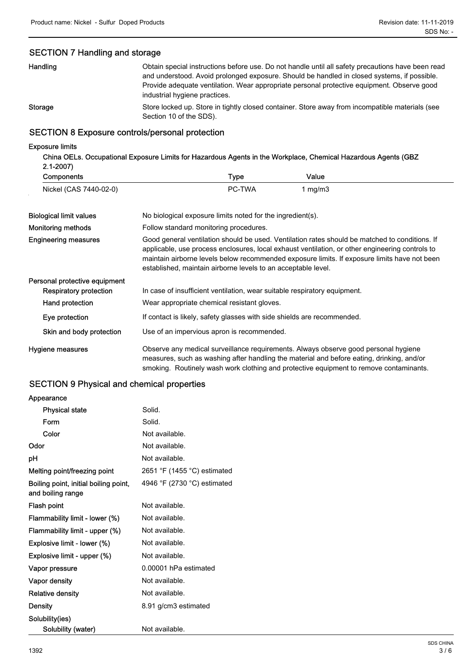## SECTION 7 Handling and storage

| Handling       | Obtain special instructions before use. Do not handle until all safety precautions have been read<br>and understood. Avoid prolonged exposure. Should be handled in closed systems, if possible.<br>Provide adequate ventilation. Wear appropriate personal protective equipment. Observe good<br>industrial hygiene practices. |
|----------------|---------------------------------------------------------------------------------------------------------------------------------------------------------------------------------------------------------------------------------------------------------------------------------------------------------------------------------|
| <b>Storage</b> | Store locked up. Store in tightly closed container. Store away from incompatible materials (see<br>Section 10 of the SDS).                                                                                                                                                                                                      |

## SECTION 8 Exposure controls/personal protection

#### Exposure limits

China OELs. Occupational Exposure Limits for Hazardous Agents in the Workplace, Chemical Hazardous Agents (GBZ 2.1-2007)

| Components             | Гуре          | Value |
|------------------------|---------------|-------|
| Nickel (CAS 7440-02-0) | <b>PC-TWA</b> | mq/m3 |

| <b>Biological limit values</b> | No biological exposure limits noted for the ingredient(s).                                                                                                                                                                                                                                                                                                         |
|--------------------------------|--------------------------------------------------------------------------------------------------------------------------------------------------------------------------------------------------------------------------------------------------------------------------------------------------------------------------------------------------------------------|
| <b>Monitoring methods</b>      | Follow standard monitoring procedures.                                                                                                                                                                                                                                                                                                                             |
| <b>Engineering measures</b>    | Good general ventilation should be used. Ventilation rates should be matched to conditions. If<br>applicable, use process enclosures, local exhaust ventilation, or other engineering controls to<br>maintain airborne levels below recommended exposure limits. If exposure limits have not been<br>established, maintain airborne levels to an acceptable level. |
| Personal protective equipment  |                                                                                                                                                                                                                                                                                                                                                                    |
| <b>Respiratory protection</b>  | In case of insufficient ventilation, wear suitable respiratory equipment.                                                                                                                                                                                                                                                                                          |
| Hand protection                | Wear appropriate chemical resistant gloves.                                                                                                                                                                                                                                                                                                                        |
| Eye protection                 | If contact is likely, safety glasses with side shields are recommended.                                                                                                                                                                                                                                                                                            |
| Skin and body protection       | Use of an impervious apron is recommended.                                                                                                                                                                                                                                                                                                                         |
| Hygiene measures               | Observe any medical surveillance requirements. Always observe good personal hygiene<br>measures, such as washing after handling the material and before eating, drinking, and/or                                                                                                                                                                                   |

smoking. Routinely wash work clothing and protective equipment to remove contaminants.

## SECTION 9 Physical and chemical properties

| Appearance                                                 |                             |
|------------------------------------------------------------|-----------------------------|
| <b>Physical state</b>                                      | Solid.                      |
| Form                                                       | Solid.                      |
| Color                                                      | Not available.              |
| Odor                                                       | Not available.              |
| рH                                                         | Not available.              |
| Melting point/freezing point                               | 2651 °F (1455 °C) estimated |
| Boiling point, initial boiling point,<br>and boiling range | 4946 °F (2730 °C) estimated |
| Flash point                                                | Not available.              |
| Flammability limit - lower (%)                             | Not available.              |
| Flammability limit - upper (%)                             | Not available.              |
| Explosive limit - lower (%)                                | Not available.              |
| Explosive limit - upper (%)                                | Not available.              |
| Vapor pressure                                             | 0.00001 hPa estimated       |
| <b>Vapor density</b>                                       | Not available.              |
| Relative density                                           | Not available.              |
| Density                                                    | 8.91 g/cm3 estimated        |
| Solubility(ies)                                            |                             |
| Solubility (water)                                         | Not available.              |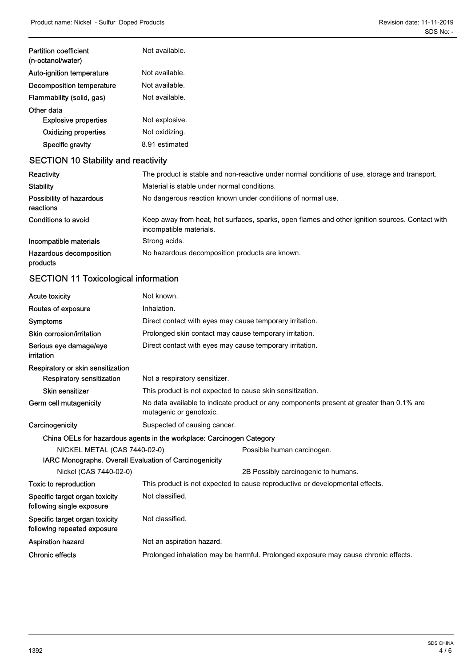| Auto-ignition temperature   | Not available. |
|-----------------------------|----------------|
| Decomposition temperature   | Not available. |
| Flammability (solid, gas)   | Not available. |
| Other data                  |                |
| <b>Explosive properties</b> | Not explosive. |
| <b>Oxidizing properties</b> | Not oxidizing. |
| Specific gravity            | 8.91 estimated |

| Reactivity                            | The product is stable and non-reactive under normal conditions of use, storage and transport.                              |  |
|---------------------------------------|----------------------------------------------------------------------------------------------------------------------------|--|
| <b>Stability</b>                      | Material is stable under normal conditions.                                                                                |  |
| Possibility of hazardous<br>reactions | No dangerous reaction known under conditions of normal use.                                                                |  |
| Conditions to avoid                   | Keep away from heat, hot surfaces, sparks, open flames and other ignition sources. Contact with<br>incompatible materials. |  |
| Incompatible materials                | Strong acids.                                                                                                              |  |
| Hazardous decomposition<br>products   | No hazardous decomposition products are known.                                                                             |  |

## SECTION 11 Toxicological information

| <b>Acute toxicity</b>                                         | Not known.                                                                                                          |  |  |
|---------------------------------------------------------------|---------------------------------------------------------------------------------------------------------------------|--|--|
| Routes of exposure                                            | Inhalation.                                                                                                         |  |  |
| <b>Symptoms</b>                                               | Direct contact with eyes may cause temporary irritation.                                                            |  |  |
| Skin corrosion/irritation                                     | Prolonged skin contact may cause temporary irritation.                                                              |  |  |
| Serious eye damage/eye<br>irritation                          | Direct contact with eyes may cause temporary irritation.                                                            |  |  |
| Respiratory or skin sensitization                             |                                                                                                                     |  |  |
| <b>Respiratory sensitization</b>                              | Not a respiratory sensitizer.                                                                                       |  |  |
| <b>Skin sensitizer</b>                                        | This product is not expected to cause skin sensitization.                                                           |  |  |
| Germ cell mutagenicity                                        | No data available to indicate product or any components present at greater than 0.1% are<br>mutagenic or genotoxic. |  |  |
| Carcinogenicity                                               | Suspected of causing cancer.                                                                                        |  |  |
|                                                               | China OELs for hazardous agents in the workplace: Carcinogen Category                                               |  |  |
| NICKEL METAL (CAS 7440-02-0)                                  | Possible human carcinogen.                                                                                          |  |  |
| IARC Monographs. Overall Evaluation of Carcinogenicity        |                                                                                                                     |  |  |
| Nickel (CAS 7440-02-0)                                        | 2B Possibly carcinogenic to humans.                                                                                 |  |  |
| Toxic to reproduction                                         | This product is not expected to cause reproductive or developmental effects.                                        |  |  |
| Specific target organ toxicity<br>following single exposure   | Not classified.                                                                                                     |  |  |
| Specific target organ toxicity<br>following repeated exposure | Not classified.                                                                                                     |  |  |
| <b>Aspiration hazard</b>                                      | Not an aspiration hazard.                                                                                           |  |  |
| <b>Chronic effects</b>                                        | Prolonged inhalation may be harmful. Prolonged exposure may cause chronic effects.                                  |  |  |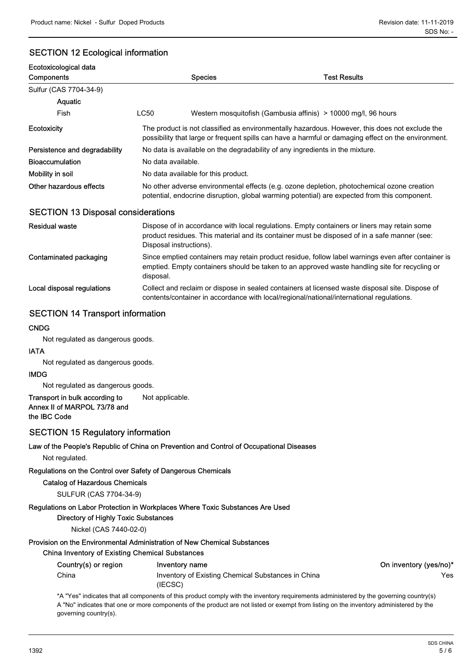## SECTION 12 Ecological information

| Ecotoxicological data                     |                                                                                                                                                                                                       |                                                                                                                                                                                                     |  |
|-------------------------------------------|-------------------------------------------------------------------------------------------------------------------------------------------------------------------------------------------------------|-----------------------------------------------------------------------------------------------------------------------------------------------------------------------------------------------------|--|
| Components                                | <b>Species</b>                                                                                                                                                                                        | <b>Test Results</b>                                                                                                                                                                                 |  |
| Sulfur (CAS 7704-34-9)                    |                                                                                                                                                                                                       |                                                                                                                                                                                                     |  |
| Aquatic                                   |                                                                                                                                                                                                       |                                                                                                                                                                                                     |  |
| Fish                                      | <b>LC50</b>                                                                                                                                                                                           | Western mosquitofish (Gambusia affinis) > 10000 mg/l, 96 hours                                                                                                                                      |  |
| Ecotoxicity                               | The product is not classified as environmentally hazardous. However, this does not exclude the<br>possibility that large or frequent spills can have a harmful or damaging effect on the environment. |                                                                                                                                                                                                     |  |
| Persistence and degradability             | No data is available on the degradability of any ingredients in the mixture.                                                                                                                          |                                                                                                                                                                                                     |  |
| <b>Bioaccumulation</b>                    | No data available.                                                                                                                                                                                    |                                                                                                                                                                                                     |  |
| Mobility in soil                          | No data available for this product.                                                                                                                                                                   |                                                                                                                                                                                                     |  |
| Other hazardous effects                   | No other adverse environmental effects (e.g. ozone depletion, photochemical ozone creation<br>potential, endocrine disruption, global warming potential) are expected from this component.            |                                                                                                                                                                                                     |  |
| <b>SECTION 13 Disposal considerations</b> |                                                                                                                                                                                                       |                                                                                                                                                                                                     |  |
| <b>Residual waste</b>                     | Disposal instructions).                                                                                                                                                                               | Dispose of in accordance with local regulations. Empty containers or liners may retain some<br>product residues. This material and its container must be disposed of in a safe manner (see:         |  |
| Contaminated packaging                    | disposal.                                                                                                                                                                                             | Since emptied containers may retain product residue, follow label warnings even after container is<br>emptied. Empty containers should be taken to an approved waste handling site for recycling or |  |
| Local disposal regulations                |                                                                                                                                                                                                       | Collect and reclaim or dispose in sealed containers at licensed waste disposal site. Dispose of<br>contents/container in accordance with local/regional/national/international regulations.         |  |

### SECTION 14 Transport information

#### **CNDG**

Not regulated as dangerous goods.

#### IATA

Not regulated as dangerous goods.

#### IMDG

Not regulated as dangerous goods.

#### Transport in bulk according to Not applicable. Annex II of MARPOL 73/78 and the IBC Code

### SECTION 15 Regulatory information

#### Law of the People's Republic of China on Prevention and Control of Occupational Diseases

Not regulated.

#### Regulations on the Control over Safety of Dangerous Chemicals

#### Catalog of Hazardous Chemicals

SULFUR (CAS 7704-34-9)

#### Regulations on Labor Protection in Workplaces Where Toxic Substances Are Used

Directory of Highly Toxic Substances

#### Nickel (CAS 7440-02-0)

#### Provision on the Environmental Administration of New Chemical Substances

#### China Inventory of Existing Chemical Substances

| Country(s) or region | Inventory name                                     | On inventory (yes/no)* |
|----------------------|----------------------------------------------------|------------------------|
| China                | Inventory of Existing Chemical Substances in China | Yes                    |
|                      | (IECSC)                                            |                        |

\*A "Yes" indicates that all components of this product comply with the inventory requirements administered by the governing country(s) A "No" indicates that one or more components of the product are not listed or exempt from listing on the inventory administered by the governing country(s).